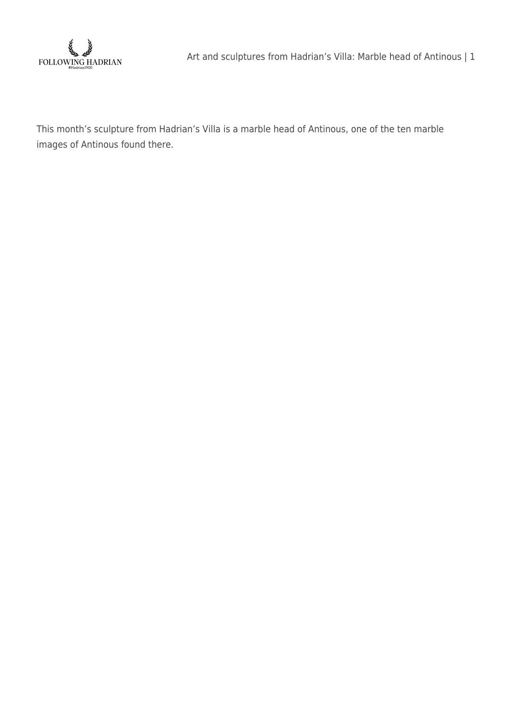

Art and sculptures from Hadrian's Villa: Marble head of Antinous | 1

This month's sculpture from Hadrian's Villa is a marble head of Antinous, one of the ten marble images of Antinous found there.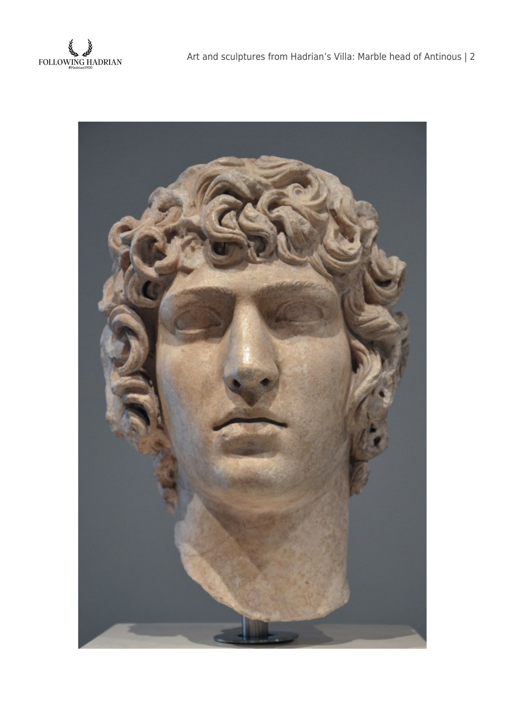

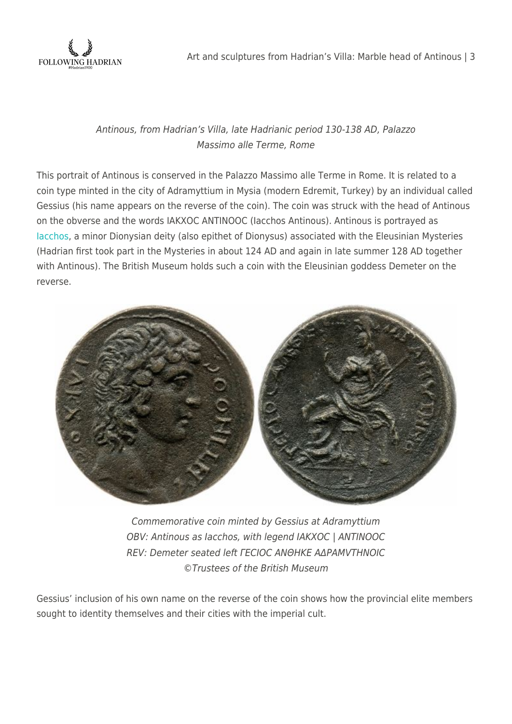

## Antinous, from Hadrian's Villa, late Hadrianic period 130-138 AD, Palazzo Massimo alle Terme, Rome

This portrait of Antinous is conserved in the Palazzo Massimo alle Terme in Rome. It is related to a coin type minted in the city of Adramyttium in Mysia (modern Edremit, Turkey) by an individual called Gessius (his name appears on the reverse of the coin). The coin was struck with the head of Antinous on the obverse and the words ΙΑΚΧΟC ΑΝΤΙΝΟΟC (Iacchos Antinous). Antinous is portrayed as [Iacchos,](http://www.theoi.com/Georgikos/EleusiniosIakkhos.html) a minor Dionysian deity (also epithet of Dionysus) associated with the Eleusinian Mysteries (Hadrian first took part in the Mysteries in about 124 AD and again in late summer 128 AD together with Antinous). The British Museum holds such a coin with the Eleusinian goddess Demeter on the reverse.



Commemorative coin minted by Gessius at Adramyttium OBV: Antinous as Iacchos, with legend IAKXOC | ANTINOOC REV: Demeter seated left ΓECIOC ANΘHKE AΔPAMVTHNOIC ©Trustees of the British Museum

Gessius' inclusion of his own name on the reverse of the coin shows how the provincial elite members sought to identity themselves and their cities with the imperial cult.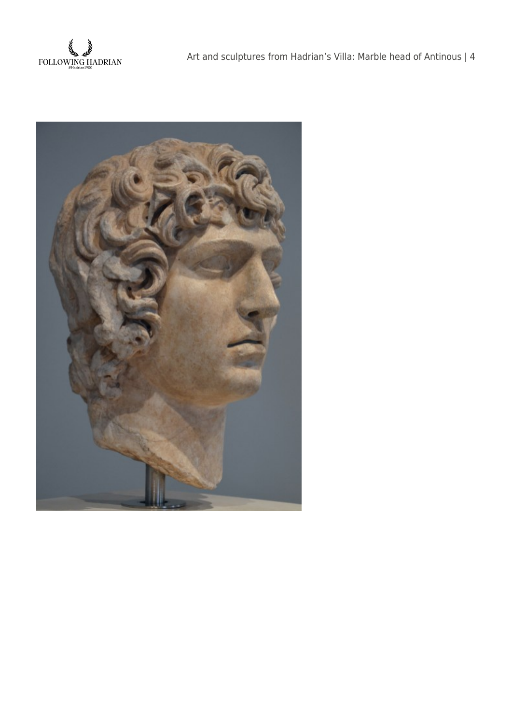

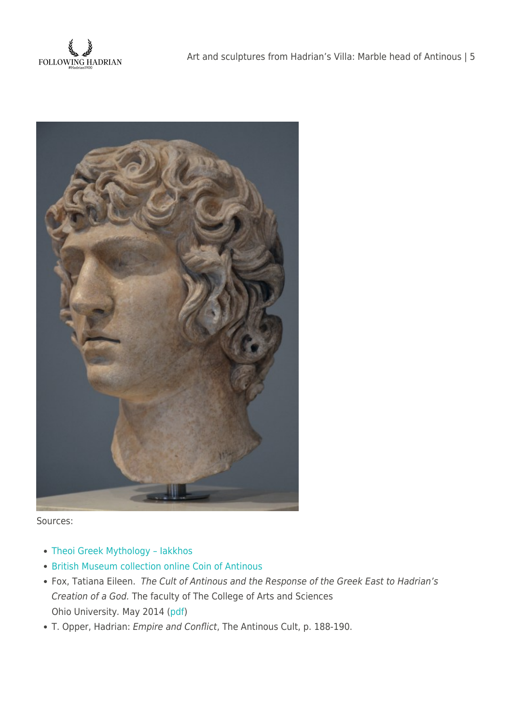



Sources:

- [Theoi Greek Mythology Iakkhos](http://www.theoi.com/Georgikos/EleusiniosIakkhos.html)
- [British Museum collection online Coin of Antinous](http://www.britishmuseum.org/research/collection_online/collection_object_details.aspx?objectId=1322218&partId=1&searchText=antinous+coin&page=1)
- Fox, Tatiana Eileen. The Cult of Antinous and the Response of the Greek East to Hadrian's Creation of a God. The faculty of The College of Arts and Sciences Ohio University. May 2014 [\(pdf](https://etd.ohiolink.edu/!etd.send_file?accession=ouashonors1399414457&disposition=inline))
- T. Opper, Hadrian: Empire and Conflict, The Antinous Cult, p. 188-190.